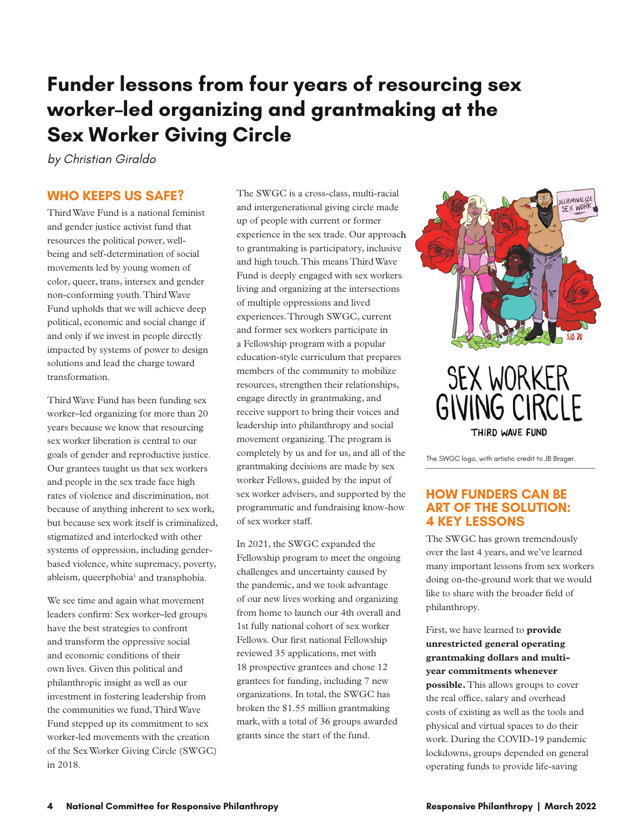## **Funder lessons from four years of resourcing sex worker–led organizing and grantmaking at the Sex Worker Giving Circle**

*by Christian Giraldo*

### **WHO KEEPS US SAFE?**

Third Wave Fund is a national feminist and gender justice activist fund that resources the political power, wellbeing and self-determination of social movements led by young women of color, queer, trans, intersex and gender non-conforming youth. Third Wave Fund upholds that we will achieve deep political, economic and social change if and only if we invest in people directly impacted by systems of power to design solutions and lead the charge toward transformation.

Third Wave Fund has been funding sex worker–led organizing for more than 20 years because we know that resourcing sex worker liberation is central to our goals of gender and reproductive justice. Our grantees taught us that sex workers and people in the sex trade face high rates of violence and discrimination, not because of anything inherent to sex work, but because sex work itself is criminalized, stigmatized and interlocked with other systems of oppression, including genderbased violence, white supremacy, poverty, ableism, queerphobia<sup>1</sup> and transphobia.

We see time and again what movement leaders confirm: Sex worker–led groups have the best strategies to confront and transform the oppressive social and economic conditions of their own lives. Given this political and philanthropic insight as well as our investment in fostering leadership from the communities we fund, Third Wave Fund stepped up its commitment to sex worker-led movements with the creation of the Sex Worker Giving Circle (SWGC) in 2018.

The SWGC is a cross-class, multi-racial and intergenerational giving circle made up of people with current or former experience in the sex trade. Our approach to grantmaking is participatory, inclusive and high touch. This means Third Wave Fund is deeply engaged with sex workers living and organizing at the intersections of multiple oppressions and lived experiences. Through SWGC, current and former sex workers participate in a Fellowship program with a popular education-style curriculum that prepares members of the community to mobilize resources, strengthen their relationships, engage directly in grantmaking, and receive support to bring their voices and leadership into philanthropy and social movement organizing. The program is completely by us and for us, and all of the grantmaking decisions are made by sex worker Fellows, guided by the input of sex worker advisers, and supported by the programmatic and fundraising know-how of sex worker staff.

In 2021, the SWGC expanded the Fellowship program to meet the ongoing challenges and uncertainty caused by the pandemic, and we took advantage of our new lives working and organizing from home to launch our 4th overall and 1st fully national cohort of sex worker Fellows. Our first national Fellowship reviewed 35 applications, met with 18 prospective grantees and chose 12 grantees for funding, including 7 new organizations. In total, the SWGC has broken the \$1.55 million grantmaking mark, with a total of 36 groups awarded grants since the start of the fund.



# **SEX WORKER GIVING CIRCLE** THIRD WAVE FUND

The SWGC logo, with artistic credit to JB Brager.

### **HOW FUNDERS CAN BE ART OF THE SOLUTION: 4 KEY LESSONS**

The SWGC has grown tremendously over the last 4 years, and we've learned many important lessons from sex workers doing on-the-ground work that we would like to share with the broader field of philanthropy.

First, we have learned to **provide unrestricted general operating grantmaking dollars and multiyear commitments whenever possible.** This allows groups to cover the real office, salary and overhead costs of existing as well as the tools and physical and virtual spaces to do their work. During the COVID-19 pandemic lockdowns, groups depended on general operating funds to provide life-saving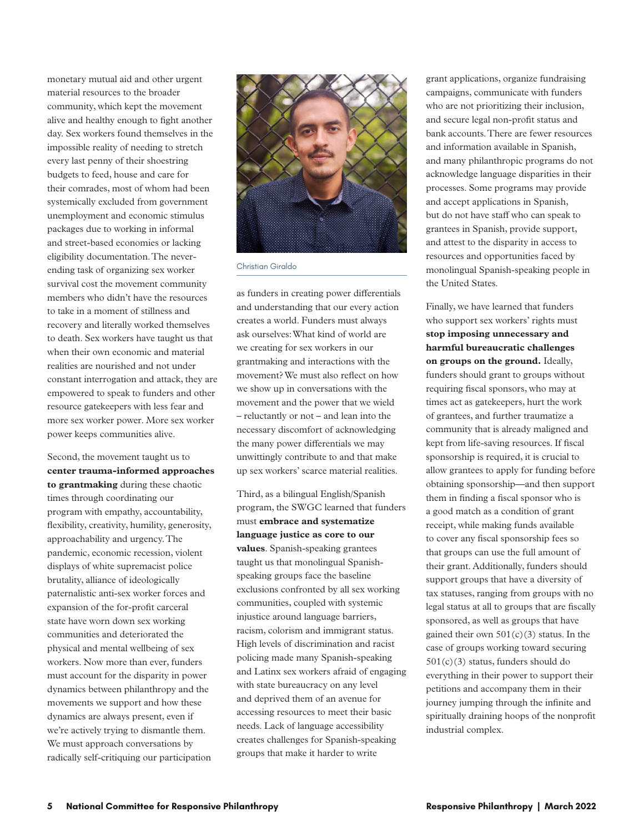monetary mutual aid and other urgent material resources to the broader community, which kept the movement alive and healthy enough to fight another day. Sex workers found themselves in the impossible reality of needing to stretch every last penny of their shoestring budgets to feed, house and care for their comrades, most of whom had been systemically excluded from government unemployment and economic stimulus packages due to working in informal and street-based economies or lacking eligibility documentation. The neverending task of organizing sex worker survival cost the movement community members who didn't have the resources to take in a moment of stillness and recovery and literally worked themselves to death. Sex workers have taught us that when their own economic and material realities are nourished and not under constant interrogation and attack, they are empowered to speak to funders and other resource gatekeepers with less fear and more sex worker power. More sex worker power keeps communities alive.

Second, the movement taught us to **center trauma-informed approaches to grantmaking** during these chaotic times through coordinating our program with empathy, accountability, flexibility, creativity, humility, generosity, approachability and urgency. The pandemic, economic recession, violent displays of white supremacist police brutality, alliance of ideologically paternalistic anti-sex worker forces and expansion of the for-profit carceral state have worn down sex working communities and deteriorated the physical and mental wellbeing of sex workers. Now more than ever, funders must account for the disparity in power dynamics between philanthropy and the movements we support and how these dynamics are always present, even if we're actively trying to dismantle them. We must approach conversations by radically self-critiquing our participation



Christian Giraldo

as funders in creating power differentials and understanding that our every action creates a world. Funders must always ask ourselves: What kind of world are we creating for sex workers in our grantmaking and interactions with the movement? We must also reflect on how we show up in conversations with the movement and the power that we wield – reluctantly or not – and lean into the necessary discomfort of acknowledging the many power differentials we may unwittingly contribute to and that make up sex workers' scarce material realities.

Third, as a bilingual English/Spanish program, the SWGC learned that funders must **embrace and systematize language justice as core to our values**. Spanish-speaking grantees taught us that monolingual Spanishspeaking groups face the baseline exclusions confronted by all sex working communities, coupled with systemic injustice around language barriers, racism, colorism and immigrant status. High levels of discrimination and racist policing made many Spanish-speaking and Latinx sex workers afraid of engaging with state bureaucracy on any level and deprived them of an avenue for accessing resources to meet their basic needs. Lack of language accessibility creates challenges for Spanish-speaking groups that make it harder to write

grant applications, organize fundraising campaigns, communicate with funders who are not prioritizing their inclusion, and secure legal non-profit status and bank accounts. There are fewer resources and information available in Spanish, and many philanthropic programs do not acknowledge language disparities in their processes. Some programs may provide and accept applications in Spanish, but do not have staff who can speak to grantees in Spanish, provide support, and attest to the disparity in access to resources and opportunities faced by monolingual Spanish-speaking people in the United States.

Finally, we have learned that funders who support sex workers' rights must **stop imposing unnecessary and harmful bureaucratic challenges on groups on the ground.** Ideally, funders should grant to groups without requiring fiscal sponsors, who may at times act as gatekeepers, hurt the work of grantees, and further traumatize a community that is already maligned and kept from life-saving resources. If fiscal sponsorship is required, it is crucial to allow grantees to apply for funding before obtaining sponsorship—and then support them in finding a fiscal sponsor who is a good match as a condition of grant receipt, while making funds available to cover any fiscal sponsorship fees so that groups can use the full amount of their grant. Additionally, funders should support groups that have a diversity of tax statuses, ranging from groups with no legal status at all to groups that are fiscally sponsored, as well as groups that have gained their own  $501(c)(3)$  status. In the case of groups working toward securing  $501(c)(3)$  status, funders should do everything in their power to support their petitions and accompany them in their journey jumping through the infinite and spiritually draining hoops of the nonprofit industrial complex.